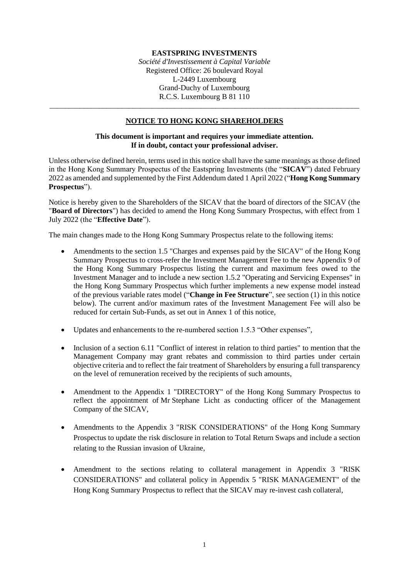### **EASTSPRING INVESTMENTS**

*Société d'Investissement à Capital Variable* Registered Office: 26 boulevard Royal L-2449 Luxembourg Grand-Duchy of Luxembourg R.C.S. Luxembourg B 81 110

## **NOTICE TO HONG KONG SHAREHOLDERS**

\_\_\_\_\_\_\_\_\_\_\_\_\_\_\_\_\_\_\_\_\_\_\_\_\_\_\_\_\_\_\_\_\_\_\_\_\_\_\_\_\_\_\_\_\_\_\_\_\_\_\_\_\_\_\_\_\_\_\_\_\_\_\_\_\_\_\_\_\_\_\_\_\_\_\_\_\_\_\_\_\_\_

#### **This document is important and requires your immediate attention. If in doubt, contact your professional adviser.**

Unless otherwise defined herein, terms used in this notice shall have the same meanings as those defined in the Hong Kong Summary Prospectus of the Eastspring Investments (the "**SICAV**") dated February 2022 as amended and supplemented by the First Addendum dated 1 April 2022 ("**Hong Kong Summary Prospectus**").

Notice is hereby given to the Shareholders of the SICAV that the board of directors of the SICAV (the "**Board of Directors**") has decided to amend the Hong Kong Summary Prospectus, with effect from 1 July 2022 (the "**Effective Date**").

The main changes made to the Hong Kong Summary Prospectus relate to the following items:

- Amendments to the section 1.5 "Charges and expenses paid by the SICAV" of the Hong Kong Summary Prospectus to cross-refer the Investment Management Fee to the new Appendix 9 of the Hong Kong Summary Prospectus listing the current and maximum fees owed to the Investment Manager and to include a new section 1.5.2 "Operating and Servicing Expenses" in the Hong Kong Summary Prospectus which further implements a new expense model instead of the previous variable rates model ("**Change in Fee Structure**", see section (1) in this notice below). The current and/or maximum rates of the Investment Management Fee will also be reduced for certain Sub-Funds, as set out in Annex 1 of this notice,
- Updates and enhancements to the re-numbered section 1.5.3 "Other expenses",
- Inclusion of a section 6.11 "Conflict of interest in relation to third parties" to mention that the Management Company may grant rebates and commission to third parties under certain objective criteria and to reflect the fair treatment of Shareholders by ensuring a full transparency on the level of remuneration received by the recipients of such amounts,
- Amendment to the Appendix 1 "DIRECTORY" of the Hong Kong Summary Prospectus to reflect the appointment of Mr Stephane Licht as conducting officer of the Management Company of the SICAV,
- Amendments to the Appendix 3 "RISK CONSIDERATIONS" of the Hong Kong Summary Prospectus to update the risk disclosure in relation to Total Return Swaps and include a section relating to the Russian invasion of Ukraine,
- Amendment to the sections relating to collateral management in Appendix 3 "RISK" CONSIDERATIONS" and collateral policy in Appendix 5 "RISK MANAGEMENT" of the Hong Kong Summary Prospectus to reflect that the SICAV may re-invest cash collateral,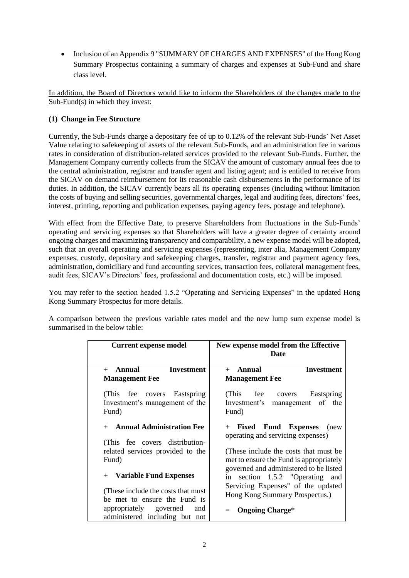• Inclusion of an Appendix 9 "SUMMARY OF CHARGES AND EXPENSES" of the Hong Kong Summary Prospectus containing a summary of charges and expenses at Sub-Fund and share class level.

In addition, the Board of Directors would like to inform the Shareholders of the changes made to the  $\overline{\text{Sub-Fund}(s)}$  in which they invest:

# **(1) Change in Fee Structure**

Currently, the Sub-Funds charge a depositary fee of up to 0.12% of the relevant Sub-Funds' Net Asset Value relating to safekeeping of assets of the relevant Sub-Funds, and an administration fee in various rates in consideration of distribution-related services provided to the relevant Sub-Funds. Further, the Management Company currently collects from the SICAV the amount of customary annual fees due to the central administration, registrar and transfer agent and listing agent; and is entitled to receive from the SICAV on demand reimbursement for its reasonable cash disbursements in the performance of its duties. In addition, the SICAV currently bears all its operating expenses (including without limitation the costs of buying and selling securities, governmental charges, legal and auditing fees, directors' fees, interest, printing, reporting and publication expenses, paying agency fees, postage and telephone).

With effect from the Effective Date, to preserve Shareholders from fluctuations in the Sub-Funds' operating and servicing expenses so that Shareholders will have a greater degree of certainty around ongoing charges and maximizing transparency and comparability, a new expense model will be adopted, such that an overall operating and servicing expenses (representing, inter alia, Management Company expenses, custody, depositary and safekeeping charges, transfer, registrar and payment agency fees, administration, domiciliary and fund accounting services, transaction fees, collateral management fees, audit fees, SICAV's Directors' fees, professional and documentation costs, etc.) will be imposed.

You may refer to the section headed 1.5.2 "Operating and Servicing Expenses" in the updated Hong Kong Summary Prospectus for more details.

A comparison between the previous variable rates model and the new lump sum expense model is summarised in the below table:

| + Annual<br>Investment<br><b>Management Fee</b>                                                                                                                                                                                                                                                                  |
|------------------------------------------------------------------------------------------------------------------------------------------------------------------------------------------------------------------------------------------------------------------------------------------------------------------|
|                                                                                                                                                                                                                                                                                                                  |
| (This fee covers<br>Eastspring<br>Investment's management of the                                                                                                                                                                                                                                                 |
| + <b>Fixed Fund Expenses</b> (new<br>operating and servicing expenses)<br>(These include the costs that must be)<br>met to ensure the Fund is appropriately<br>governed and administered to be listed<br>in section 1.5.2 "Operating and<br>Servicing Expenses" of the updated<br>Hong Kong Summary Prospectus.) |
|                                                                                                                                                                                                                                                                                                                  |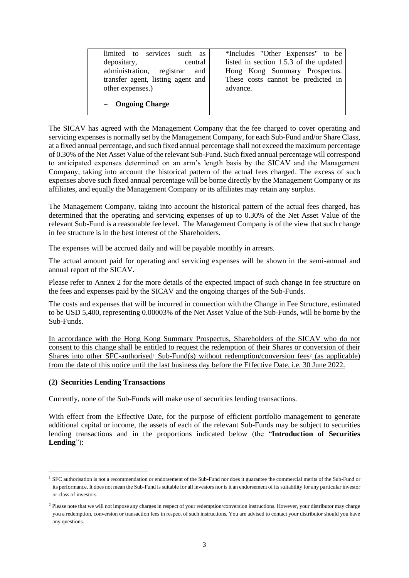| limited to services such as<br>depositary,<br>central<br>administration, registrar<br>and<br>transfer agent, listing agent and<br>other expenses.) | *Includes "Other Expenses" to be<br>listed in section 1.5.3 of the updated<br>Hong Kong Summary Prospectus.<br>These costs cannot be predicted in<br>advance. |
|----------------------------------------------------------------------------------------------------------------------------------------------------|---------------------------------------------------------------------------------------------------------------------------------------------------------------|
| $=$ Ongoing Charge                                                                                                                                 |                                                                                                                                                               |

The SICAV has agreed with the Management Company that the fee charged to cover operating and servicing expenses is normally set by the Management Company, for each Sub-Fund and/or Share Class, at a fixed annual percentage, and such fixed annual percentage shall not exceed the maximum percentage of 0.30% of the Net Asset Value of the relevant Sub-Fund. Such fixed annual percentage will correspond to anticipated expenses determined on an arm's length basis by the SICAV and the Management Company, taking into account the historical pattern of the actual fees charged. The excess of such expenses above such fixed annual percentage will be borne directly by the Management Company or its affiliates, and equally the Management Company or its affiliates may retain any surplus.

The Management Company, taking into account the historical pattern of the actual fees charged, has determined that the operating and servicing expenses of up to 0.30% of the Net Asset Value of the relevant Sub-Fund is a reasonable fee level. The Management Company is of the view that such change in fee structure is in the best interest of the Shareholders.

The expenses will be accrued daily and will be payable monthly in arrears.

The actual amount paid for operating and servicing expenses will be shown in the semi-annual and annual report of the SICAV.

Please refer to Annex 2 for the more details of the expected impact of such change in fee structure on the fees and expenses paid by the SICAV and the ongoing charges of the Sub-Funds.

The costs and expenses that will be incurred in connection with the Change in Fee Structure, estimated to be USD 5,400, representing 0.00003% of the Net Asset Value of the Sub-Funds, will be borne by the Sub-Funds.

In accordance with the Hong Kong Summary Prospectus, Shareholders of the SICAV who do not consent to this change shall be entitled to request the redemption of their Shares or conversion of their Shares into other SFC-authorised<sup>1</sup> Sub-Fund(s) without redemption/conversion fees<sup>2</sup> (as applicable) from the date of this notice until the last business day before the Effective Date, i.e. 30 June 2022.

### **(2) Securities Lending Transactions**

Currently, none of the Sub-Funds will make use of securities lending transactions.

With effect from the Effective Date, for the purpose of efficient portfolio management to generate additional capital or income, the assets of each of the relevant Sub-Funds may be subject to securities lending transactions and in the proportions indicated below (the "**Introduction of Securities Lending**"):

<sup>&</sup>lt;sup>1</sup> SFC authorisation is not a recommendation or endorsement of the Sub-Fund nor does it guarantee the commercial merits of the Sub-Fund or its performance. It does not mean the Sub-Fund is suitable for all investors nor is it an endorsement of its suitability for any particular investor or class of investors.

<sup>&</sup>lt;sup>2</sup> Please note that we will not impose any charges in respect of your redemption/conversion instructions. However, your distributor may charge you a redemption, conversion or transaction fees in respect of such instructions. You are advised to contact your distributor should you have any questions.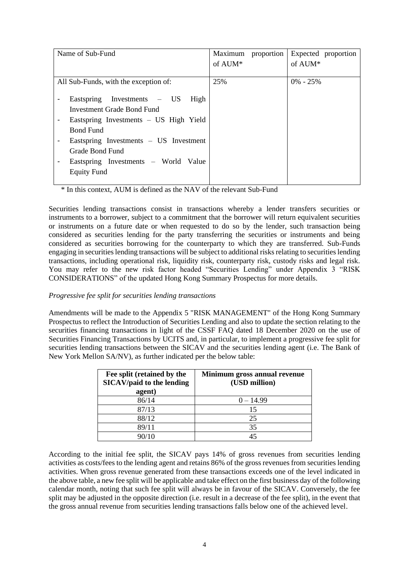| Name of Sub-Fund                            | Maximum<br>proportion | Expected proportion |
|---------------------------------------------|-----------------------|---------------------|
|                                             | of AUM*               | of AUM*             |
|                                             |                       |                     |
| All Sub-Funds, with the exception of:       | 25%                   | $0\% - 25\%$        |
|                                             |                       |                     |
| Eastspring Investments $-$ US<br>High       |                       |                     |
| Investment Grade Bond Fund                  |                       |                     |
| Eastspring Investments – US High Yield<br>- |                       |                     |
| <b>Bond Fund</b>                            |                       |                     |
| Eastspring Investments – US Investment      |                       |                     |
| Grade Bond Fund                             |                       |                     |
| Eastspring Investments – World Value        |                       |                     |
| <b>Equity Fund</b>                          |                       |                     |
|                                             |                       |                     |

\* In this context, AUM is defined as the NAV of the relevant Sub-Fund

Securities lending transactions consist in transactions whereby a lender transfers securities or instruments to a borrower, subject to a commitment that the borrower will return equivalent securities or instruments on a future date or when requested to do so by the lender, such transaction being considered as securities lending for the party transferring the securities or instruments and being considered as securities borrowing for the counterparty to which they are transferred. Sub-Funds engaging in securities lending transactions will be subject to additional risks relating to securities lending transactions, including operational risk, liquidity risk, counterparty risk, custody risks and legal risk. You may refer to the new risk factor headed "Securities Lending" under Appendix 3 "RISK CONSIDERATIONS" of the updated Hong Kong Summary Prospectus for more details.

#### *Progressive fee split for securities lending transactions*

Amendments will be made to the Appendix 5 "RISK MANAGEMENT" of the Hong Kong Summary Prospectus to reflect the Introduction of Securities Lending and also to update the section relating to the securities financing transactions in light of the CSSF FAQ dated 18 December 2020 on the use of Securities Financing Transactions by UCITS and, in particular, to implement a progressive fee split for securities lending transactions between the SICAV and the securities lending agent (i.e. The Bank of New York Mellon SA/NV), as further indicated per the below table:

| Fee split (retained by the<br><b>SICAV/paid to the lending</b><br>agent) | Minimum gross annual revenue<br>(USD million) |
|--------------------------------------------------------------------------|-----------------------------------------------|
| 86/14                                                                    | $0 - 14.99$                                   |
| 87/13                                                                    | 15                                            |
| 88/12                                                                    | 25                                            |
| 89/11                                                                    | 35                                            |
|                                                                          |                                               |

According to the initial fee split, the SICAV pays 14% of gross revenues from securities lending activities as costs/fees to the lending agent and retains 86% of the gross revenues from securities lending activities. When gross revenue generated from these transactions exceeds one of the level indicated in the above table, a new fee split will be applicable and take effect on the first business day of the following calendar month, noting that such fee split will always be in favour of the SICAV. Conversely, the fee split may be adjusted in the opposite direction (i.e. result in a decrease of the fee split), in the event that the gross annual revenue from securities lending transactions falls below one of the achieved level.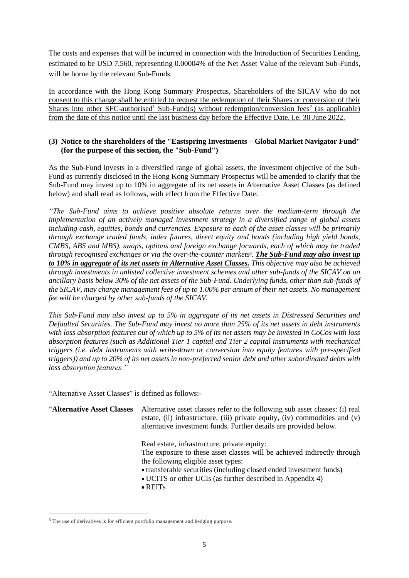The costs and expenses that will be incurred in connection with the Introduction of Securities Lending, estimated to be USD 7,560, representing 0.00004% of the Net Asset Value of the relevant Sub-Funds, will be borne by the relevant Sub-Funds.

In accordance with the Hong Kong Summary Prospectus, Shareholders of the SICAV who do not consent to this change shall be entitled to request the redemption of their Shares or conversion of their Shares into other SFC-authorised<sup>1</sup> Sub-Fund(s) without redemption/conversion fees<sup>2</sup> (as applicable) from the date of this notice until the last business day before the Effective Date, i.e. 30 June 2022.

### **(3) Notice to the shareholders of the "Eastspring Investments – Global Market Navigator Fund" (for the purpose of this section, the "Sub-Fund")**

As the Sub-Fund invests in a diversified range of global assets, the investment objective of the Sub-Fund as currently disclosed in the Hong Kong Summary Prospectus will be amended to clarify that the Sub-Fund may invest up to 10% in aggregate of its net assets in Alternative Asset Classes (as defined below) and shall read as follows, with effect from the Effective Date:

*"The Sub-Fund aims to achieve positive absolute returns over the medium-term through the implementation of an actively managed investment strategy in a diversified range of global assets including cash, equities, bonds and currencies. Exposure to each of the asset classes will be primarily through exchange traded funds, index futures, direct equity and bonds (including high yield bonds, CMBS, ABS and MBS), swaps, options and foreign exchange forwards, each of which may be traded through recognised exchanges or via the over-the-counter markets*<sup>3</sup> *. The Sub-Fund may also invest up to 10% in aggregate of its net assets in Alternative Asset Classes. This objective may also be achieved through investments in unlisted collective investment schemes and other sub-funds of the SICAV on an ancillary basis below 30% of the net assets of the Sub-Fund. Underlying funds, other than sub-funds of the SICAV, may charge management fees of up to 1.00% per annum of their net assets. No management fee will be charged by other sub-funds of the SICAV.* 

*This Sub-Fund may also invest up to 5% in aggregate of its net assets in Distressed Securities and Defaulted Securities. The Sub-Fund may invest no more than 25% of its net assets in debt instruments with loss absorption features out of which up to 5% of its net assets may be invested in CoCos with loss absorption features (such as Additional Tier 1 capital and Tier 2 capital instruments with mechanical triggers (i.e. debt instruments with write-down or conversion into equity features with pre-specified triggers)) and up to 20% of its net assets in non-preferred senior debt and other subordinated debts with loss absorption features."*

"Alternative Asset Classes" is defined as follows:-

"**Alternative Asset Classes** Alternative asset classes refer to the following sub asset classes: (i) real estate, (ii) infrastructure, (iii) private equity, (iv) commodities and (v) alternative investment funds. Further details are provided below.

> Real estate, infrastructure, private equity: The exposure to these asset classes will be achieved indirectly through the following eligible asset types:

- transferable securities (including closed ended investment funds)
- UCITS or other UCIs (as further described in Appendix 4)
- REITs

<sup>&</sup>lt;sup>3</sup> The use of derivatives is for efficient portfolio management and hedging purpose.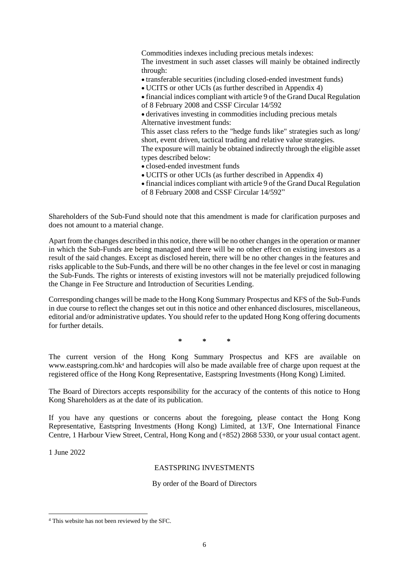Commodities indexes including precious metals indexes: The investment in such asset classes will mainly be obtained indirectly through:

• transferable securities (including closed-ended investment funds)

• UCITS or other UCIs (as further described in Appendix 4)

• financial indices compliant with article 9 of the Grand Ducal Regulation of 8 February 2008 and CSSF Circular 14/592

• derivatives investing in commodities including precious metals Alternative investment funds:

This asset class refers to the "hedge funds like" strategies such as long/ short, event driven, tactical trading and relative value strategies.

The exposure will mainly be obtained indirectly through the eligible asset types described below:

- closed-ended investment funds
- UCITS or other UCIs (as further described in Appendix 4)
- financial indices compliant with article 9 of the Grand Ducal Regulation of 8 February 2008 and CSSF Circular 14/592"

Shareholders of the Sub-Fund should note that this amendment is made for clarification purposes and does not amount to a material change.

Apart from the changes described in this notice, there will be no other changes in the operation or manner in which the Sub-Funds are being managed and there will be no other effect on existing investors as a result of the said changes. Except as disclosed herein, there will be no other changes in the features and risks applicable to the Sub-Funds, and there will be no other changes in the fee level or cost in managing the Sub-Funds. The rights or interests of existing investors will not be materially prejudiced following the Change in Fee Structure and Introduction of Securities Lending.

Corresponding changes will be made to the Hong Kong Summary Prospectus and KFS of the Sub-Funds in due course to reflect the changes set out in this notice and other enhanced disclosures, miscellaneous, editorial and/or administrative updates. You should refer to the updated Hong Kong offering documents for further details.

**\* \* \***

The current version of the Hong Kong Summary Prospectus and KFS are available on www.eastspring.com.hk<sup>4</sup> and hardcopies will also be made available free of charge upon request at the registered office of the Hong Kong Representative, Eastspring Investments (Hong Kong) Limited.

The Board of Directors accepts responsibility for the accuracy of the contents of this notice to Hong Kong Shareholders as at the date of its publication.

If you have any questions or concerns about the foregoing, please contact the Hong Kong Representative, Eastspring Investments (Hong Kong) Limited, at 13/F, One International Finance Centre, 1 Harbour View Street, Central, Hong Kong and (+852) 2868 5330, or your usual contact agent.

1 June 2022

#### EASTSPRING INVESTMENTS

By order of the Board of Directors

<sup>4</sup> This website has not been reviewed by the SFC.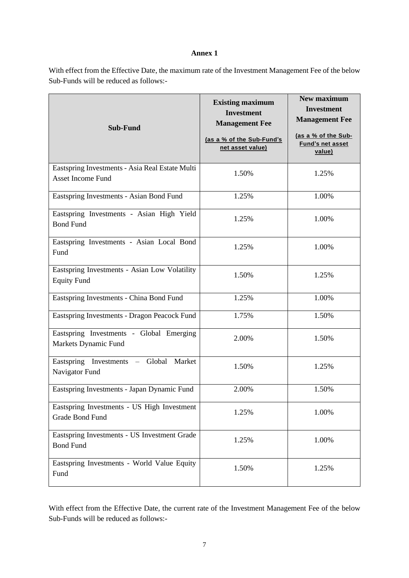# **Annex 1**

With effect from the Effective Date, the maximum rate of the Investment Management Fee of the below Sub-Funds will be reduced as follows:-

| Sub-Fund                                                                                 | <b>Existing maximum</b><br><b>Investment</b><br><b>Management Fee</b><br>(as a % of the Sub-Fund's | New maximum<br><b>Investment</b><br><b>Management Fee</b><br>(as a % of the Sub-<br>Fund's net asset |  |
|------------------------------------------------------------------------------------------|----------------------------------------------------------------------------------------------------|------------------------------------------------------------------------------------------------------|--|
|                                                                                          | net asset value)                                                                                   | value)                                                                                               |  |
| Eastspring Investments - Asia Real Estate Multi<br><b>Asset Income Fund</b>              | 1.50%                                                                                              | 1.25%                                                                                                |  |
| Eastspring Investments - Asian Bond Fund                                                 | 1.25%                                                                                              | 1.00%                                                                                                |  |
| Eastspring Investments - Asian High Yield<br><b>Bond Fund</b>                            | 1.25%                                                                                              | 1.00%                                                                                                |  |
| Eastspring Investments - Asian Local Bond<br>Fund                                        | 1.25%                                                                                              | 1.00%                                                                                                |  |
| Eastspring Investments - Asian Low Volatility<br><b>Equity Fund</b>                      | 1.50%                                                                                              | 1.25%                                                                                                |  |
| Eastspring Investments - China Bond Fund                                                 | 1.25%                                                                                              | 1.00%                                                                                                |  |
| Eastspring Investments - Dragon Peacock Fund                                             | 1.75%                                                                                              | 1.50%                                                                                                |  |
| Eastspring Investments - Global Emerging<br>Markets Dynamic Fund                         | 2.00%                                                                                              | 1.50%                                                                                                |  |
| Eastspring Investments<br>Global<br>Market<br>$\overline{\phantom{a}}$<br>Navigator Fund | 1.50%                                                                                              | 1.25%                                                                                                |  |
| Eastspring Investments - Japan Dynamic Fund                                              | 2.00%                                                                                              | 1.50%                                                                                                |  |
| Eastspring Investments - US High Investment<br>Grade Bond Fund                           | 1.25%                                                                                              | 1.00%                                                                                                |  |
| Eastspring Investments - US Investment Grade<br><b>Bond Fund</b>                         | 1.25%                                                                                              | 1.00%                                                                                                |  |
| Eastspring Investments - World Value Equity<br>Fund                                      | 1.50%                                                                                              | 1.25%                                                                                                |  |

With effect from the Effective Date, the current rate of the Investment Management Fee of the below Sub-Funds will be reduced as follows:-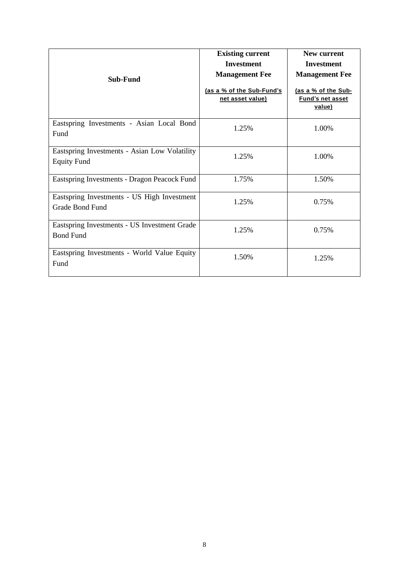| <b>Sub-Fund</b>                                                     | <b>Existing current</b><br><b>Investment</b><br><b>Management Fee</b><br>(as a % of the Sub-Fund's<br>net asset value) | New current<br><b>Investment</b><br><b>Management Fee</b><br>(as a % of the Sub-<br>Fund's net asset<br>value) |  |
|---------------------------------------------------------------------|------------------------------------------------------------------------------------------------------------------------|----------------------------------------------------------------------------------------------------------------|--|
| Eastspring Investments - Asian Local Bond<br>Fund                   | 1.25%                                                                                                                  | 1.00%                                                                                                          |  |
| Eastspring Investments - Asian Low Volatility<br><b>Equity Fund</b> | 1.25%                                                                                                                  | 1.00%                                                                                                          |  |
| Eastspring Investments - Dragon Peacock Fund                        | 1.75%                                                                                                                  | 1.50%                                                                                                          |  |
| Eastspring Investments - US High Investment<br>Grade Bond Fund      | 1.25%                                                                                                                  | 0.75%                                                                                                          |  |
| Eastspring Investments - US Investment Grade<br><b>Bond Fund</b>    | 1.25%                                                                                                                  | 0.75%                                                                                                          |  |
| Eastspring Investments - World Value Equity<br>Fund                 | 1.50%                                                                                                                  | 1.25%                                                                                                          |  |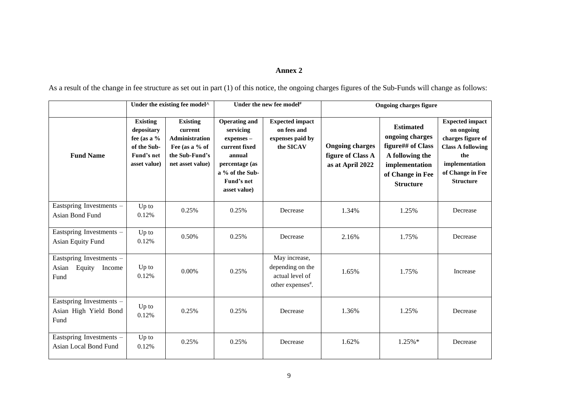# **Annex 2**

As a result of the change in fee structure as set out in part (1) of this notice, the ongoing charges figures of the Sub-Funds will change as follows:

|                                                               |                                                                                             | Under the existing fee model <sup>^</sup><br>Under the new fee model <sup>#</sup>                           |                                                                                                                                               |                                                                                       | <b>Ongoing charges figure</b>                                   |                                                                                                                                       |                                                                                                                                                        |
|---------------------------------------------------------------|---------------------------------------------------------------------------------------------|-------------------------------------------------------------------------------------------------------------|-----------------------------------------------------------------------------------------------------------------------------------------------|---------------------------------------------------------------------------------------|-----------------------------------------------------------------|---------------------------------------------------------------------------------------------------------------------------------------|--------------------------------------------------------------------------------------------------------------------------------------------------------|
| <b>Fund Name</b>                                              | <b>Existing</b><br>depositary<br>fee (as a $%$<br>of the Sub-<br>Fund's net<br>asset value) | <b>Existing</b><br>current<br><b>Administration</b><br>Fee (as a % of<br>the Sub-Fund's<br>net asset value) | <b>Operating and</b><br>servicing<br>expenses -<br>current fixed<br>annual<br>percentage (as<br>a % of the Sub-<br>Fund's net<br>asset value) | <b>Expected impact</b><br>on fees and<br>expenses paid by<br>the SICAV                | <b>Ongoing charges</b><br>figure of Class A<br>as at April 2022 | <b>Estimated</b><br>ongoing charges<br>figure## of Class<br>A following the<br>implementation<br>of Change in Fee<br><b>Structure</b> | <b>Expected impact</b><br>on ongoing<br>charges figure of<br><b>Class A following</b><br>the<br>implementation<br>of Change in Fee<br><b>Structure</b> |
| Eastspring Investments -<br>Asian Bond Fund                   | Up to<br>0.12%                                                                              | 0.25%                                                                                                       | 0.25%                                                                                                                                         | Decrease                                                                              | 1.34%                                                           | 1.25%                                                                                                                                 | Decrease                                                                                                                                               |
| Eastspring Investments -<br>Asian Equity Fund                 | Up to<br>0.12%                                                                              | 0.50%                                                                                                       | 0.25%                                                                                                                                         | Decrease                                                                              | 2.16%                                                           | 1.75%                                                                                                                                 | Decrease                                                                                                                                               |
| Eastspring Investments -<br>Equity<br>Asian<br>Income<br>Fund | Up to<br>0.12%                                                                              | 0.00%                                                                                                       | 0.25%                                                                                                                                         | May increase,<br>depending on the<br>actual level of<br>other expenses <sup>#</sup> . | 1.65%                                                           | 1.75%                                                                                                                                 | Increase                                                                                                                                               |
| Eastspring Investments -<br>Asian High Yield Bond<br>Fund     | Up to<br>0.12%                                                                              | 0.25%                                                                                                       | 0.25%                                                                                                                                         | Decrease                                                                              | 1.36%                                                           | 1.25%                                                                                                                                 | Decrease                                                                                                                                               |
| Eastspring Investments -<br>Asian Local Bond Fund             | Up to<br>0.12%                                                                              | 0.25%                                                                                                       | 0.25%                                                                                                                                         | Decrease                                                                              | 1.62%                                                           | $1.25\%*$                                                                                                                             | Decrease                                                                                                                                               |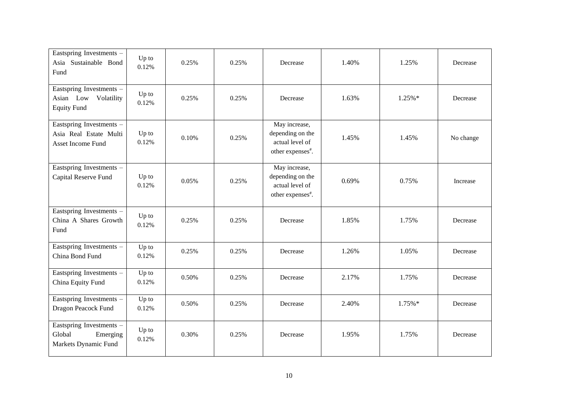| Eastspring Investments -<br>Asia Sustainable Bond<br>Fund                 | Up to<br>0.12% | 0.25% | 0.25% | Decrease                                                                              | 1.40% | 1.25%     | Decrease  |
|---------------------------------------------------------------------------|----------------|-------|-------|---------------------------------------------------------------------------------------|-------|-----------|-----------|
| Eastspring Investments -<br>Asian Low<br>Volatility<br><b>Equity Fund</b> | Up to<br>0.12% | 0.25% | 0.25% | Decrease                                                                              | 1.63% | $1.25%$ * | Decrease  |
| Eastspring Investments -<br>Asia Real Estate Multi<br>Asset Income Fund   | Up to<br>0.12% | 0.10% | 0.25% | May increase,<br>depending on the<br>actual level of<br>other expenses <sup>#</sup> . | 1.45% | 1.45%     | No change |
| Eastspring Investments -<br>Capital Reserve Fund                          | Up to<br>0.12% | 0.05% | 0.25% | May increase,<br>depending on the<br>actual level of<br>other expenses <sup>#</sup> . | 0.69% | 0.75%     | Increase  |
| Eastspring Investments -<br>China A Shares Growth<br>Fund                 | Up to<br>0.12% | 0.25% | 0.25% | Decrease                                                                              | 1.85% | 1.75%     | Decrease  |
| Eastspring Investments -<br>China Bond Fund                               | Up to<br>0.12% | 0.25% | 0.25% | Decrease                                                                              | 1.26% | 1.05%     | Decrease  |
| Eastspring Investments -<br>China Equity Fund                             | Up to<br>0.12% | 0.50% | 0.25% | Decrease                                                                              | 2.17% | 1.75%     | Decrease  |
| Eastspring Investments -<br>Dragon Peacock Fund                           | Up to<br>0.12% | 0.50% | 0.25% | Decrease                                                                              | 2.40% | $1.75%$ * | Decrease  |
| Eastspring Investments -<br>Global<br>Emerging<br>Markets Dynamic Fund    | Up to<br>0.12% | 0.30% | 0.25% | Decrease                                                                              | 1.95% | 1.75%     | Decrease  |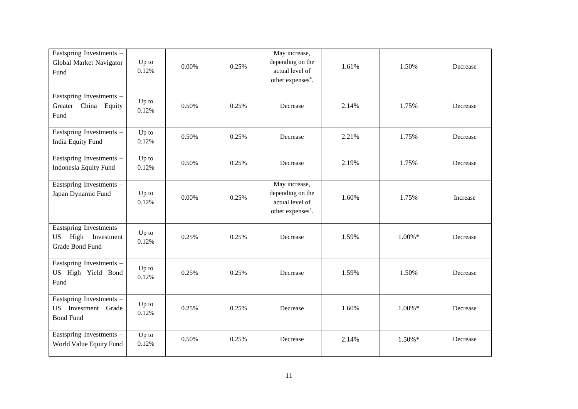| Eastspring Investments -<br>Global Market Navigator<br>Fund                 | Up to<br>0.12% | $0.00\%$ | 0.25% | May increase,<br>depending on the<br>actual level of<br>other expenses#.              | 1.61% | 1.50%      | Decrease |
|-----------------------------------------------------------------------------|----------------|----------|-------|---------------------------------------------------------------------------------------|-------|------------|----------|
| Eastspring Investments -<br>Greater<br>China Equity<br>Fund                 | Up to<br>0.12% | 0.50%    | 0.25% | Decrease                                                                              | 2.14% | 1.75%      | Decrease |
| Eastspring Investments -<br>India Equity Fund                               | Up to<br>0.12% | 0.50%    | 0.25% | Decrease                                                                              | 2.21% | 1.75%      | Decrease |
| Eastspring Investments -<br>Indonesia Equity Fund                           | Up to<br>0.12% | 0.50%    | 0.25% | Decrease                                                                              | 2.19% | 1.75%      | Decrease |
| Eastspring Investments -<br>Japan Dynamic Fund                              | Up to<br>0.12% | 0.00%    | 0.25% | May increase,<br>depending on the<br>actual level of<br>other expenses <sup>#</sup> . | 1.60% | 1.75%      | Increase |
| Eastspring Investments -<br>High Investment<br><b>US</b><br>Grade Bond Fund | Up to<br>0.12% | 0.25%    | 0.25% | Decrease                                                                              | 1.59% | $1.00\% *$ | Decrease |
| Eastspring Investments -<br>US High Yield Bond<br>Fund                      | Up to<br>0.12% | 0.25%    | 0.25% | Decrease                                                                              | 1.59% | 1.50%      | Decrease |
| Eastspring Investments -<br>US Investment Grade<br><b>Bond Fund</b>         | Up to<br>0.12% | 0.25%    | 0.25% | Decrease                                                                              | 1.60% | $1.00\% *$ | Decrease |
| Eastspring Investments -<br>World Value Equity Fund                         | Up to<br>0.12% | 0.50%    | 0.25% | Decrease                                                                              | 2.14% | $1.50\%*$  | Decrease |